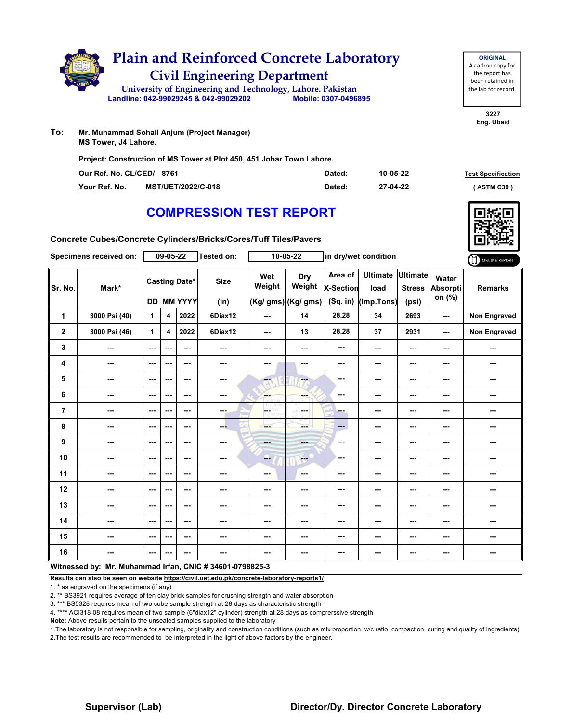

| Our Ref. No. CL/CED/ 8761 |                           | Dated: | 10-05-22 | <b>Test Specification</b> |
|---------------------------|---------------------------|--------|----------|---------------------------|
| Your Ref. No.             | <b>MST/UET/2022/C-018</b> | Dated: | 27-04-22 | (ASTM C39)                |

**3227 Eng. Ubaid**

**ORIGINAL** A carbon copy for the report has been retained in the lab for record.

# **COMPRESSION TEST REPORT**

**Concrete Cubes/Concrete Cylinders/Bricks/Cores/Tuff Tiles/Pavers**

|                | Specimens received on:                                   |                          | $09 - 05 - 22$          |                                           | Tested on:               |                   | $10 - 05 - 22$                       |                                           | in dry/wet condition                  |                                           |                                    | ONLINE REPORT       |
|----------------|----------------------------------------------------------|--------------------------|-------------------------|-------------------------------------------|--------------------------|-------------------|--------------------------------------|-------------------------------------------|---------------------------------------|-------------------------------------------|------------------------------------|---------------------|
| Sr. No.        | Mark*                                                    |                          |                         | <b>Casting Date*</b><br><b>DD MM YYYY</b> | <b>Size</b><br>(in)      | Wet<br>Weight     | Dry<br>Weight<br>(Kg/ gms) (Kg/ gms) | Area of<br><b>X-Section</b><br>$(Sq.$ in) | <b>Ultimate</b><br>load<br>(Imp.Tons) | <b>Ultimate</b><br><b>Stress</b><br>(psi) | Water<br><b>Absorpti</b><br>on (%) | <b>Remarks</b>      |
| 1              | 3000 Psi (40)                                            | $\mathbf{1}$             | $\overline{\mathbf{4}}$ | 2022                                      | 6Diax12                  | ---               | 14                                   | 28.28                                     | 34                                    | 2693                                      | ---                                | Non Engraved        |
| $\mathbf{2}$   | 3000 Psi (46)                                            | $\mathbf{1}$             | 4                       | 2022                                      | 6Diax12                  | ---               | 13                                   | 28.28                                     | 37                                    | 2931                                      | ---                                | <b>Non Engraved</b> |
| 3              | ---                                                      | $\sim$ $\sim$            | ---                     | $- - -$                                   | $\overline{\phantom{a}}$ | $\sim$            | ---                                  | ---                                       | ---                                   | ---                                       | ---                                | ---                 |
| 4              | ---                                                      | $\sim$                   | ---                     | ---                                       | ---                      | ---               | ---                                  | ---                                       | ---                                   | ---                                       | ---                                | ---                 |
| 5              | ---                                                      | $\sim$ $\sim$            | ---                     | ---                                       | ---                      | ---               | ---                                  | ---                                       | ---                                   | ---                                       | ---                                | ---                 |
| 6              | ---                                                      | $\sim$                   | ---                     | ---                                       | $\cdots$                 | ---               | ---                                  | ---                                       | ---                                   | ---                                       | ---                                | ---                 |
| $\overline{7}$ | ---                                                      | $\overline{\phantom{a}}$ | ---                     | ---                                       | ---                      | CETHY<br>LORD WHI | ---                                  | - -                                       | ---                                   | ---                                       | ---                                | ---                 |
| 8              | ---                                                      | ---                      | ---                     | ---                                       | --                       | ---               | ---                                  | ---                                       | ---                                   | ---                                       | ---                                | ---                 |
| 9              | ---                                                      | $-$                      | ---                     | $- - -$                                   | ---                      | $- - -$           | ---                                  | ---                                       | ---                                   | ---                                       | ---                                | ---                 |
| 10             | ---                                                      | $\overline{\phantom{a}}$ | ---                     | ---                                       | ---                      | ---               | $--$                                 | ---                                       | ---                                   | ---                                       | ---                                | ---                 |
| 11             | ---                                                      | $\sim$ $\sim$            | ---                     | $--$                                      | ---                      | ---               | $\sim$                               | ---                                       | ---                                   | ---                                       | ---                                | ---                 |
| 12             | ---                                                      | $-$                      | ---                     | ---                                       | ---                      | ---               | ---                                  | ---                                       | ---                                   | ---                                       | ---                                | ---                 |
| 13             | ---                                                      | $\overline{\phantom{a}}$ | ---                     | ---                                       | ---                      | ---               | ---                                  | ---                                       | ---                                   | ---                                       | ---                                | ---                 |
| 14             | ---                                                      | $\sim$ $\sim$            | ---                     | $--$                                      | ---                      | ---               | ---                                  | ---                                       | ---                                   | ---                                       | ---                                | ---                 |
| 15             | ---                                                      | $\overline{\phantom{a}}$ | ---                     | ---                                       | ---                      | ---               | ---                                  | ---                                       | ---                                   | ---                                       | ---                                | ---                 |
| 16             | ---                                                      | $--$                     | ---                     | ---                                       | ---                      | ---               | ---                                  | ---                                       | ---                                   | ---                                       | ---                                | ---                 |
|                | Witnessed by: Mr. Muhammad Irfan, CNIC # 34601-0798825-3 |                          |                         |                                           |                          |                   |                                      |                                           |                                       |                                           |                                    |                     |

#### **Results can also be seen on website https://civil.uet.edu.pk/concrete-laboratory-reports1/**

1. \* as engraved on the specimens (if any)

2. \*\* BS3921 requires average of ten clay brick samples for crushing strength and water absorption

3. \*\*\* BS5328 requires mean of two cube sample strength at 28 days as characteristic strength

4. \*\*\*\* ACI318-08 requires mean of two sample (6"diax12" cylinder) strength at 28 days as comprerssive strength

**Note:** Above results pertain to the unsealed samples supplied to the laboratory

1.The laboratory is not responsible for sampling, originality and construction conditions (such as mix proportion, w/c ratio, compaction, curing and quality of ingredients) 2.The test results are recommended to be interpreted in the light of above factors by the engineer.

### **Supervisor (Lab) Director/Dy. Director Concrete Laboratory**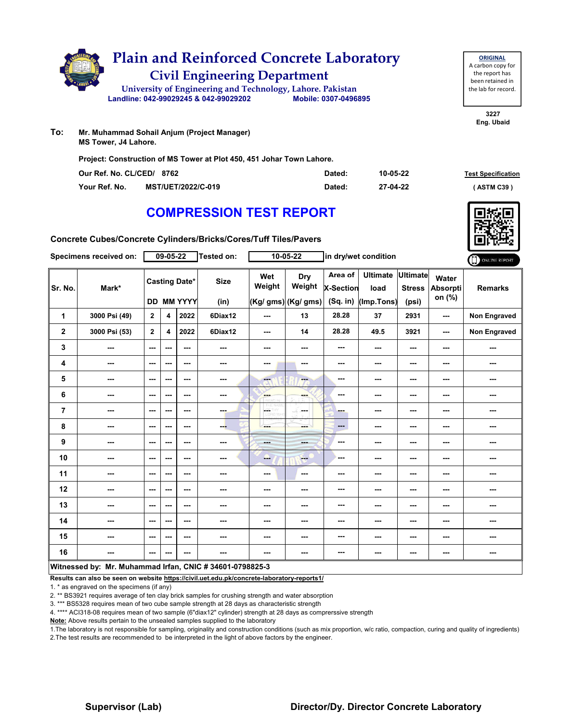

| Our Ref. No. CL/CED/ 8762 |                           | Dated: | 10-05-22 | <b>Test Specification</b> |
|---------------------------|---------------------------|--------|----------|---------------------------|
| Your Ref. No.             | <b>MST/UET/2022/C-019</b> | Dated: | 27-04-22 | <b>ASTM C39</b>           |

## **COMPRESSION TEST REPORT**

**Concrete Cubes/Concrete Cylinders/Bricks/Cores/Tuff Tiles/Pavers**

|                | Specimens received on:                                   |                          | $09 - 05 - 22$ |                                    | Tested on:               |                              | $10 - 05 - 22$                       |                                           | in dry/wet condition                  |                                    |                                    | ONLINE REPORT       |
|----------------|----------------------------------------------------------|--------------------------|----------------|------------------------------------|--------------------------|------------------------------|--------------------------------------|-------------------------------------------|---------------------------------------|------------------------------------|------------------------------------|---------------------|
| Sr. No.        | Mark*                                                    |                          |                | <b>Casting Date*</b><br>DD MM YYYY | <b>Size</b><br>(in)      | Wet<br>Weight                | Dry<br>Weight<br>(Kg/ gms) (Kg/ gms) | Area of<br><b>X-Section</b><br>$(Sq.$ in) | <b>Ultimate</b><br>load<br>(Imp.Tons) | Ultimate<br><b>Stress</b><br>(psi) | Water<br><b>Absorpti</b><br>on (%) | <b>Remarks</b>      |
| 1              | 3000 Psi (49)                                            | $\overline{2}$           | 4              | 2022                               | 6Diax12                  | ---                          | 13                                   | 28.28                                     | 37                                    | 2931                               | ---                                | Non Engraved        |
| $\mathbf{2}$   | 3000 Psi (53)                                            | $\mathbf{2}$             | 4              | 2022                               | 6Diax12                  | ---                          | 14                                   | 28.28                                     | 49.5                                  | 3921                               | ---                                | <b>Non Engraved</b> |
| 3              | ---                                                      | $\sim$                   | ---            | ---                                | $\overline{\phantom{a}}$ | ---                          | ---                                  | ---                                       | ---                                   | ---                                | ---                                | ---                 |
| 4              | ---                                                      | $\overline{\phantom{a}}$ | ---            | ---                                | ---                      | ---                          | ---                                  | ---                                       | ---                                   | ---                                | ---                                | ---                 |
| 5              | ---                                                      | $\overline{\phantom{a}}$ | ---            | ---                                | ---                      | ---                          | ---                                  | ---                                       | ---                                   | ---                                | ---                                | ---                 |
| 6              | ---                                                      | $-$                      | ---            | $- - -$                            | ---                      | <b>Service</b>               | ---                                  | ---                                       | ---                                   | ---                                | ---                                | ---                 |
| $\overline{7}$ | ---                                                      | $\sim$                   | ---            | ---                                | ---                      | LGST<br>W<br><b>CORD WHI</b> | SS.<br><b>Service</b>                | ---                                       | ---                                   | ---                                | ---                                | ---                 |
| 8              | ---                                                      | $-$                      | ---            | ---                                | ---                      | ---                          | ---                                  | $---$                                     | ---                                   | ---                                | ---                                | ---                 |
| 9              | ---                                                      | $-$                      | ---            | $- - -$                            | $\frac{1}{2}$            | <b>Hotel</b>                 | ---                                  | ---                                       | ---                                   | ---                                | ---                                | ---                 |
| 10             | ---                                                      | $\overline{\phantom{a}}$ | ---            | ---                                | ---                      | --                           | <b>Free</b>                          | ---                                       | ---                                   | ---                                | ---                                | ---                 |
| 11             | ---                                                      | $\sim$                   | ---            | ---                                | ---                      | ---                          | ---                                  | ---                                       | ---                                   | ---                                |                                    | ---                 |
| 12             | ---                                                      | $- - -$                  | ---            | ---                                | ---                      | ---                          | ---                                  | ---                                       | ---                                   | ---                                | ---                                | ---                 |
| 13             | ---                                                      | $\overline{\phantom{a}}$ | ---            | ---                                | ---                      | ---                          | ---                                  | ---                                       | ---                                   | ---                                | ---                                | ---                 |
| 14             | ---                                                      | $\sim$ $\sim$            | ---            | ---                                | $\overline{\phantom{a}}$ | ---                          | ---                                  | ---                                       | ---                                   | ---                                | ---                                | ---                 |
| 15             | ---                                                      | $\sim$ $\sim$            | ---            | ---                                | ---                      | ---                          | ---                                  | ---                                       | ---                                   | ---                                | ---                                | ---                 |
| 16             | ---                                                      | $--$                     | ---            | ---                                | ---                      | ---                          | ---                                  | ---                                       | ---                                   | ---                                | ---                                | ---                 |
|                | Witnessed by: Mr. Muhammad Irfan, CNIC # 34601-0798825-3 |                          |                |                                    |                          |                              |                                      |                                           |                                       |                                    |                                    |                     |

#### **Results can also be seen on website https://civil.uet.edu.pk/concrete-laboratory-reports1/**

1. \* as engraved on the specimens (if any)

2. \*\* BS3921 requires average of ten clay brick samples for crushing strength and water absorption

3. \*\*\* BS5328 requires mean of two cube sample strength at 28 days as characteristic strength

4. \*\*\*\* ACI318-08 requires mean of two sample (6"diax12" cylinder) strength at 28 days as comprerssive strength

**Note:** Above results pertain to the unsealed samples supplied to the laboratory

1.The laboratory is not responsible for sampling, originality and construction conditions (such as mix proportion, w/c ratio, compaction, curing and quality of ingredients) 2.The test results are recommended to be interpreted in the light of above factors by the engineer.

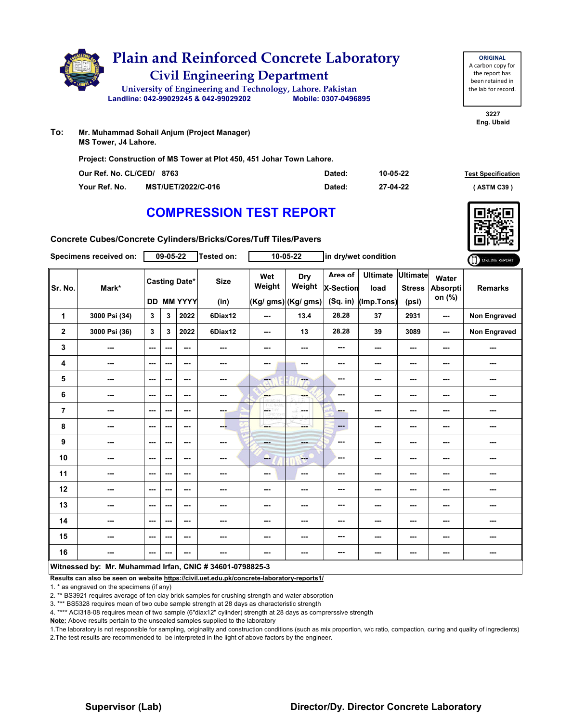

| Our Ref. No. CL/CED/ 8763 |                           | Dated: | 10-05-22 | <b>Test Specification</b> |
|---------------------------|---------------------------|--------|----------|---------------------------|
| Your Ref. No.             | <b>MST/UET/2022/C-016</b> | Dated: | 27-04-22 | <b>ASTM C39</b>           |

## **COMPRESSION TEST REPORT**

**Concrete Cubes/Concrete Cylinders/Bricks/Cores/Tuff Tiles/Pavers**

|                                                          | Specimens received on: |                          | $09 - 05 - 22$ |                                           | Tested on:          |               | $10 - 05 - 22$                       |                                           | in dry/wet condition                  |                                           |                                    | ONLINE REPORT  |
|----------------------------------------------------------|------------------------|--------------------------|----------------|-------------------------------------------|---------------------|---------------|--------------------------------------|-------------------------------------------|---------------------------------------|-------------------------------------------|------------------------------------|----------------|
| Sr. No.                                                  | Mark*                  |                          |                | <b>Casting Date*</b><br><b>DD MM YYYY</b> | <b>Size</b><br>(in) | Wet<br>Weight | Dry<br>Weight<br>(Kg/ gms) (Kg/ gms) | Area of<br><b>X-Section</b><br>$(Sq.$ in) | <b>Ultimate</b><br>load<br>(Imp.Tons) | <b>Ultimate</b><br><b>Stress</b><br>(psi) | Water<br><b>Absorpti</b><br>on (%) | <b>Remarks</b> |
| 1                                                        | 3000 Psi (34)          | 3                        | 3              | 2022                                      | 6Diax12             | ---           | 13.4                                 | 28.28                                     | 37                                    | 2931                                      | ---                                | Non Engraved   |
| $\mathbf 2$                                              | 3000 Psi (36)          | 3                        | 3              | 2022                                      | 6Diax12             | $--$          | 13                                   | 28.28                                     | 39                                    | 3089                                      | ---                                | Non Engraved   |
| 3                                                        | ---                    | $\overline{\phantom{a}}$ | ---            | $\sim$ $\sim$                             | ---                 | ---           | ---                                  | $\overline{\phantom{a}}$                  | ---                                   | ---                                       | ---                                | ---            |
| 4                                                        | ---                    | $\overline{\phantom{a}}$ | ---            | $\overline{\phantom{a}}$                  | ---                 | ---           | ---                                  | ---                                       | ---                                   | ---                                       |                                    | ---            |
| 5                                                        | $\qquad \qquad \cdots$ | $\sim$                   | ---            | $\overline{\phantom{a}}$                  | ---                 | --            | ---                                  | ---                                       | ---                                   | ---                                       | ---                                | ---            |
| 6                                                        | ---                    | $\sim$ $\sim$            | ---            | $\sim$ $\sim$                             | $\sim$ $\sim$       | ---           | ---                                  | ---                                       | ---                                   | ---                                       | ---                                | ---            |
| $\overline{7}$                                           | ---                    | $--$                     | ---            | $\overline{\phantom{a}}$                  | ---                 | CORD WHE      | ---                                  | ---                                       | ---                                   | ---                                       |                                    | ---            |
| 8                                                        | ---                    | $\sim$                   | ---            | $\overline{\phantom{a}}$                  | --                  | ---           | ---                                  | $\qquad \qquad \cdots$                    | ---                                   | ---                                       | ---                                | ---            |
| 9                                                        | ---                    | $\sim$                   | ---            | $- - -$                                   | ---                 | ---           | ---                                  | ---                                       | ---                                   | ---                                       | ---                                | ---            |
| 10                                                       | ---                    | $--$                     | ---            | $\overline{\phantom{a}}$                  | ---                 | ---           | $\frac{1}{1-\frac{1}{2}}$            | ---                                       | ---                                   | ---                                       | ---                                | ---            |
| 11                                                       | $--$                   | $\sim$                   | ---            | $\sim$ $\sim$                             | ---                 | ---           | $\cdots$                             | ---                                       | ---                                   | ---                                       | ---                                | ---            |
| 12                                                       | ---                    | $--$                     | ---            | $\sim$ $\sim$                             | ---                 | ---           | ---                                  | ---                                       | ---                                   | ---                                       | ---                                | ---            |
| 13                                                       | ---                    | $--$                     | ---            | $\overline{\phantom{a}}$                  | ---                 | ---           | ---                                  | ---                                       | ---                                   | ---                                       |                                    | ---            |
| 14                                                       | ---                    | $\overline{\phantom{a}}$ | ---            | $\sim$                                    | ---                 | ---           | ---                                  | ---                                       | ---                                   | ---                                       | ---                                | ---            |
| 15                                                       | ---                    | $--$                     | ---            | $\sim$ $\sim$                             | ---                 | ---           | ---                                  | ---                                       | ---                                   | ---                                       | ---                                | ---            |
| 16                                                       | ---                    | $--$                     | ---            | ---                                       | ---                 | ---           | ---                                  | ---                                       | ---                                   | ---                                       | ---                                | ---            |
| Witnessed by: Mr. Muhammad Irfan, CNIC # 34601-0798825-3 |                        |                          |                |                                           |                     |               |                                      |                                           |                                       |                                           |                                    |                |

#### **Results can also be seen on website https://civil.uet.edu.pk/concrete-laboratory-reports1/**

1. \* as engraved on the specimens (if any)

2. \*\* BS3921 requires average of ten clay brick samples for crushing strength and water absorption

3. \*\*\* BS5328 requires mean of two cube sample strength at 28 days as characteristic strength

4. \*\*\*\* ACI318-08 requires mean of two sample (6"diax12" cylinder) strength at 28 days as comprerssive strength

**Note:** Above results pertain to the unsealed samples supplied to the laboratory

1.The laboratory is not responsible for sampling, originality and construction conditions (such as mix proportion, w/c ratio, compaction, curing and quality of ingredients) 2.The test results are recommended to be interpreted in the light of above factors by the engineer.



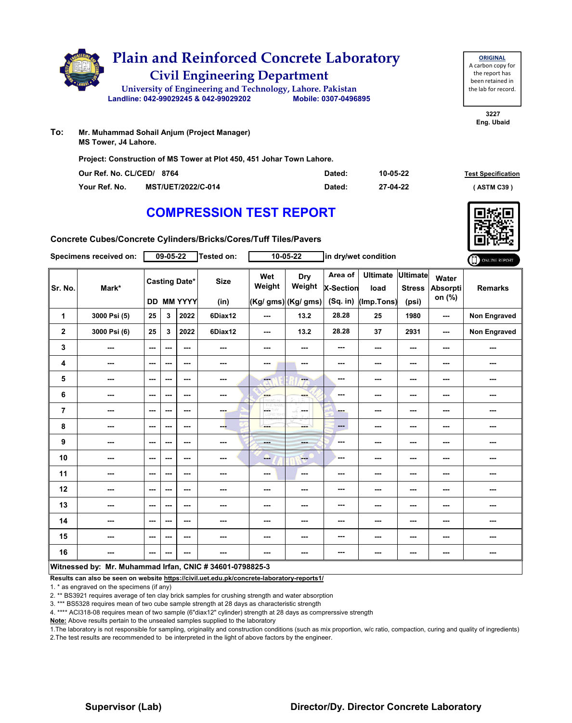

| Our Ref. No. CL/CED/ 8764 |                           | Dated: | 10-05-22 | <b>Test Specification</b> |
|---------------------------|---------------------------|--------|----------|---------------------------|
| Your Ref. No.             | <b>MST/UET/2022/C-014</b> | Dated: | 27-04-22 | (ASTM C39)                |

# **COMPRESSION TEST REPORT**

**Concrete Cubes/Concrete Cylinders/Bricks/Cores/Tuff Tiles/Pavers**

|                | Specimens received on:                                   |                          | $09 - 05 - 22$ |                                           | Tested on:          |                  | $10 - 05 - 22$                       |                                           | in dry/wet condition                  |                                           |                             | ONLINE REPORT       |
|----------------|----------------------------------------------------------|--------------------------|----------------|-------------------------------------------|---------------------|------------------|--------------------------------------|-------------------------------------------|---------------------------------------|-------------------------------------------|-----------------------------|---------------------|
| Sr. No.        | Mark*                                                    |                          |                | <b>Casting Date*</b><br><b>DD MM YYYY</b> | <b>Size</b><br>(in) | Wet<br>Weight    | Dry<br>Weight<br>(Kg/ gms) (Kg/ gms) | Area of<br><b>X-Section</b><br>$(Sq.$ in) | <b>Ultimate</b><br>load<br>(Imp.Tons) | <b>Ultimate</b><br><b>Stress</b><br>(psi) | Water<br>Absorpti<br>on (%) | <b>Remarks</b>      |
| 1              | 3000 Psi (5)                                             | 25                       | 3              | 2022                                      | 6Diax12             | ---              | 13.2                                 | 28.28                                     | 25                                    | 1980                                      | ---                         | Non Engraved        |
| $\mathbf{2}$   | 3000 Psi (6)                                             | 25                       | 3              | 2022                                      | 6Diax12             | ---              | 13.2                                 | 28.28                                     | 37                                    | 2931                                      | ---                         | <b>Non Engraved</b> |
| 3              | ---                                                      | $\sim$ $\sim$            | ---            | ---                                       | ---                 | ---              | ---                                  | ---                                       | ---                                   | ---                                       | ---                         | ---                 |
| 4              | ---                                                      | $\sim$                   | ---            | ---                                       | ---                 | ---              | ---                                  | ---                                       | ---                                   | ---                                       | ---                         | ---                 |
| 5              | ---                                                      | $\overline{\phantom{a}}$ | ---            | $--$                                      | ---                 | ---              | ---                                  | ---                                       | ---                                   | ---                                       | ---                         | ---                 |
| 6              | ---                                                      | $-$                      | ---            | ---                                       | $\sim$ $\sim$       | <b>Bar</b>       | ---                                  | ---                                       | ---                                   | ---                                       | ---                         | ---                 |
| $\overline{7}$ | ---                                                      | $\overline{\phantom{a}}$ | ---            | ---                                       | ---                 | CETHY<br>LORD WH | ---                                  | - -                                       | ---                                   | ---                                       | ---                         | ---                 |
| 8              | ---                                                      | $\sim$                   | ---            | ---                                       | --                  | ---              | ---                                  | $---$                                     | ---                                   | ---                                       | ---                         | ---                 |
| 9              | ---                                                      | $\sim$                   | ---            | $- - -$                                   | $\cdots$            | ---              | ---                                  | ---                                       | ---                                   | ---                                       | ---                         | ---                 |
| 10             | ---                                                      | $\overline{\phantom{a}}$ | ---            | ---                                       | ---                 | --               | $-$                                  | ---                                       | ---                                   | ---                                       | ---                         | ---                 |
| 11             | ---                                                      | $\overline{\phantom{a}}$ | ---            | $--$                                      | ---                 | ---              | $\sim$                               | ---                                       | ---                                   | ---                                       |                             | ---                 |
| 12             | ---                                                      | ---                      | ---            | ---                                       | ---                 | ---              | ---                                  | ---                                       | ---                                   | ---                                       |                             | ---                 |
| 13             | ---                                                      | $\overline{\phantom{a}}$ | ---            | ---                                       | ---                 | ---              | ---                                  | ---                                       | ---                                   | ---                                       | ---                         | ---                 |
| 14             | ---                                                      | $\overline{\phantom{a}}$ | ---            | $--$                                      | ---                 | ---              | ---                                  | ---                                       | ---                                   | ---                                       | ---                         | ---                 |
| 15             | ---                                                      | $\sim$                   | ---            | ---                                       | ---                 | ---              | ---                                  | ---                                       | ---                                   | ---                                       | ---                         | ---                 |
| 16             | ---                                                      | $\sim$ $\sim$            | ---            | ---                                       | ---                 | ---              | ---                                  | ---                                       | ---                                   | ---                                       | ---                         | ---                 |
|                | Witnessed by: Mr. Muhammad Irfan, CNIC # 34601-0798825-3 |                          |                |                                           |                     |                  |                                      |                                           |                                       |                                           |                             |                     |

**Results can also be seen on website https://civil.uet.edu.pk/concrete-laboratory-reports1/**

1. \* as engraved on the specimens (if any)

2. \*\* BS3921 requires average of ten clay brick samples for crushing strength and water absorption

3. \*\*\* BS5328 requires mean of two cube sample strength at 28 days as characteristic strength

4. \*\*\*\* ACI318-08 requires mean of two sample (6"diax12" cylinder) strength at 28 days as comprerssive strength

**Note:** Above results pertain to the unsealed samples supplied to the laboratory

1.The laboratory is not responsible for sampling, originality and construction conditions (such as mix proportion, w/c ratio, compaction, curing and quality of ingredients) 2.The test results are recommended to be interpreted in the light of above factors by the engineer.



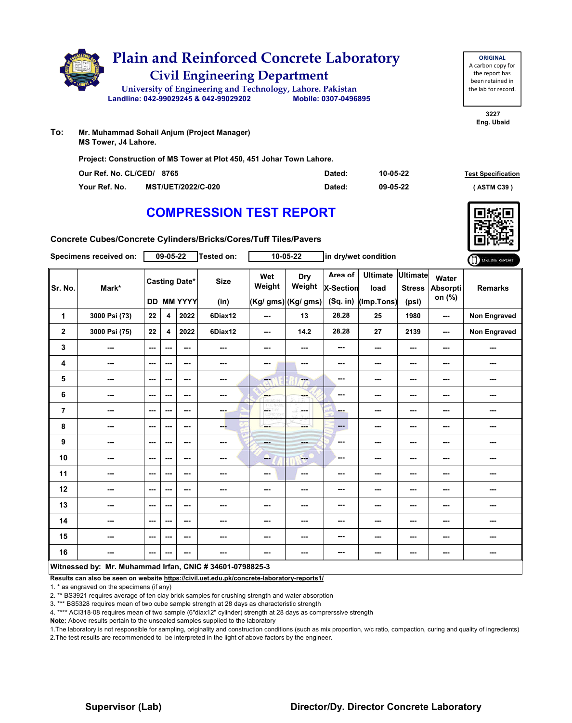

| Our Ref. No. CL/CED/ 8765 |                           | Dated: | 10-05-22 | <b>Test Specification</b> |
|---------------------------|---------------------------|--------|----------|---------------------------|
| Your Ref. No.             | <b>MST/UET/2022/C-020</b> | Dated: | 09-05-22 | <b>ASTM C39</b> '         |

**3227 Eng. Ubaid**

**ORIGINAL** A carbon copy for the report has been retained in the lab for record.

# **COMPRESSION TEST REPORT**

**Concrete Cubes/Concrete Cylinders/Bricks/Cores/Tuff Tiles/Pavers**

|                                                          | Specimens received on: |         | $09 - 05 - 22$          |                                           | Tested on:          |                   | $10 - 05 - 22$                                                                                                                                                                                                                                                                                                                                                                                                        |                                    | in dry/wet condition                  |                                           |                                    | ONLINE REPORT  |
|----------------------------------------------------------|------------------------|---------|-------------------------|-------------------------------------------|---------------------|-------------------|-----------------------------------------------------------------------------------------------------------------------------------------------------------------------------------------------------------------------------------------------------------------------------------------------------------------------------------------------------------------------------------------------------------------------|------------------------------------|---------------------------------------|-------------------------------------------|------------------------------------|----------------|
| Sr. No.                                                  | Mark*                  |         |                         | <b>Casting Date*</b><br><b>DD MM YYYY</b> | <b>Size</b><br>(in) | Wet<br>Weight     | Dry<br>Weight<br>(Kg/ gms) (Kg/ gms)                                                                                                                                                                                                                                                                                                                                                                                  | Area of<br>X-Section<br>$(Sq.$ in) | <b>Ultimate</b><br>load<br>(Imp.Tons) | <b>Ultimate</b><br><b>Stress</b><br>(psi) | Water<br><b>Absorpti</b><br>on (%) | <b>Remarks</b> |
| 1                                                        | 3000 Psi (73)          | 22      | $\overline{\mathbf{4}}$ | 2022                                      | 6Diax12             | ---               | 13                                                                                                                                                                                                                                                                                                                                                                                                                    | 28.28                              | 25                                    | 1980                                      | ---                                | Non Engraved   |
| $\mathbf{2}$                                             | 3000 Psi (75)          | 22      | 4                       | 2022                                      | 6Diax12             | ---               | 14.2                                                                                                                                                                                                                                                                                                                                                                                                                  | 28.28                              | 27                                    | 2139                                      | ---                                | Non Engraved   |
| 3                                                        | ---                    | ---     | ---                     | ---                                       | ---                 | ---               | $\sim$                                                                                                                                                                                                                                                                                                                                                                                                                | ---                                | ---                                   | ---                                       | ---                                | ---            |
| 4                                                        | ---                    | ---     | ---                     | ---                                       | ---                 | ---               | $\sim$                                                                                                                                                                                                                                                                                                                                                                                                                | ---                                | ---                                   | ---                                       | ---                                | ---            |
| 5                                                        | ---                    | ---     | ---                     | ---                                       | ---                 | ---               | <b>Fax</b>                                                                                                                                                                                                                                                                                                                                                                                                            | ---                                | ---                                   | ---                                       | ---                                | ---            |
| $\bf 6$                                                  | ---                    | ---     | ---                     | ---                                       | ---                 | ---               | ---                                                                                                                                                                                                                                                                                                                                                                                                                   | ---                                | ---                                   | ---                                       | ---                                | ---            |
| $\overline{7}$                                           | ---                    | $--$    | ---                     | ---                                       | ---                 | ---<br>Lights Win | ---                                                                                                                                                                                                                                                                                                                                                                                                                   | ---                                | ---                                   | ---                                       |                                    | ---            |
| 8                                                        | ---                    | ---     | $--$                    | ---                                       | ---                 | ---               | ---                                                                                                                                                                                                                                                                                                                                                                                                                   | $\frac{1}{2}$                      | ---                                   | ---                                       | ---                                | ---            |
| 9                                                        | ---                    | $- - -$ | ---                     | ---                                       | ---                 | <b>Basic</b>      | ---                                                                                                                                                                                                                                                                                                                                                                                                                   | ---                                | ---                                   | ---                                       | ---                                | ---            |
| 10                                                       | ---                    | $--$    | ---                     | ---                                       | ---                 | ---               | $\frac{1}{1-\frac{1}{1-\frac{1}{1-\frac{1}{1-\frac{1}{1-\frac{1}{1-\frac{1}{1-\frac{1}{1-\frac{1}{1-\frac{1}{1-\frac{1}{1-\frac{1}{1-\frac{1}{1-\frac{1}{1-\frac{1}{1-\frac{1}{1-\frac{1}{1-\frac{1}{1-\frac{1}{1-\frac{1}{1-\frac{1}{1-\frac{1}{1-\frac{1}{1-\frac{1}{1-\frac{1}{1-\frac{1}{1-\frac{1}{1-\frac{1}{1-\frac{1}{1-\frac{1}{1-\frac{1}{1-\frac{1}{1-\frac{1}{1-\frac{1}{1-\frac{1}{1-\frac{1}{1-\frac{1$ | ---                                | ---                                   | ---                                       | ---                                | ---            |
| 11                                                       | ---                    | $--$    | ---                     | ---                                       | ---                 | ---               | $\sim$                                                                                                                                                                                                                                                                                                                                                                                                                | ---                                | ---                                   | ---                                       |                                    | ---            |
| 12                                                       | ---                    | ---     | ---                     | ---                                       | ---                 | ---               | ---                                                                                                                                                                                                                                                                                                                                                                                                                   | ---                                | ---                                   | ---                                       | ---                                | ---            |
| 13                                                       | ---                    | $--$    | ---                     | ---                                       | ---                 | ---               | ---                                                                                                                                                                                                                                                                                                                                                                                                                   | ---                                | ---                                   | ---                                       | ---                                | ---            |
| 14                                                       | ---                    | $--$    | ---                     | ---                                       | ---                 | ---               | ---                                                                                                                                                                                                                                                                                                                                                                                                                   | ---                                | ---                                   | ---                                       |                                    | ---            |
| 15                                                       | ---                    | $--$    | ---                     | ---                                       | ---                 | ---               | ---                                                                                                                                                                                                                                                                                                                                                                                                                   | ---                                | ---                                   | ---                                       | ---                                | ---            |
| 16                                                       | ---                    | ---     | ---                     | ---                                       | ---                 | ---               | ---                                                                                                                                                                                                                                                                                                                                                                                                                   | ---                                | ---                                   | ---                                       | ---                                | ---            |
| Witnessed by: Mr. Muhammad Irfan, CNIC # 34601-0798825-3 |                        |         |                         |                                           |                     |                   |                                                                                                                                                                                                                                                                                                                                                                                                                       |                                    |                                       |                                           |                                    |                |

#### **Results can also be seen on website https://civil.uet.edu.pk/concrete-laboratory-reports1/**

1. \* as engraved on the specimens (if any)

2. \*\* BS3921 requires average of ten clay brick samples for crushing strength and water absorption

3. \*\*\* BS5328 requires mean of two cube sample strength at 28 days as characteristic strength

4. \*\*\*\* ACI318-08 requires mean of two sample (6"diax12" cylinder) strength at 28 days as comprerssive strength

**Note:** Above results pertain to the unsealed samples supplied to the laboratory

1.The laboratory is not responsible for sampling, originality and construction conditions (such as mix proportion, w/c ratio, compaction, curing and quality of ingredients) 2.The test results are recommended to be interpreted in the light of above factors by the engineer.

#### **Supervisor (Lab) Director/Dy. Director Concrete Laboratory**